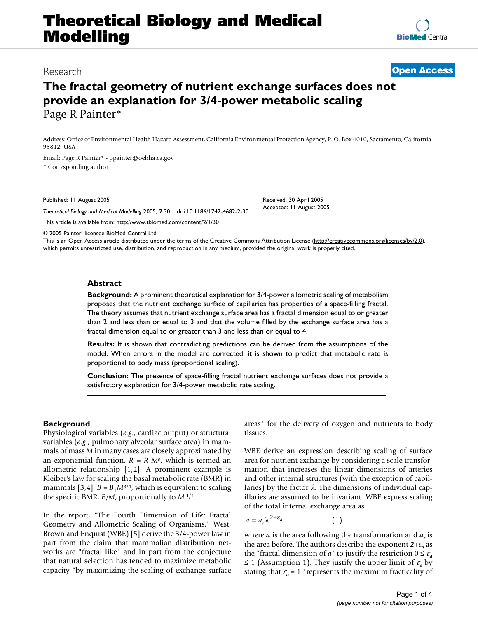# **Theoretical Biology and Medical Modelling**

## Research **[Open Access](http://www.biomedcentral.com/info/about/charter/)**

## **The fractal geometry of nutrient exchange surfaces does not provide an explanation for 3/4-power metabolic scaling** Page R Painter\*

Address: Office of Environmental Health Hazard Assessment, California Environmental Protection Agency, P. O. Box 4010, Sacramento, California 95812, USA

Email: Page R Painter\* - ppainter@oehha.ca.gov \* Corresponding author

Published: 11 August 2005

*Theoretical Biology and Medical Modelling* 2005, **2**:30 doi:10.1186/1742-4682-2-30

[This article is available from: http://www.tbiomed.com/content/2/1/30](http://www.tbiomed.com/content/2/1/30)

Received: 30 April 2005 Accepted: 11 August 2005

© 2005 Painter; licensee BioMed Central Ltd.

This is an Open Access article distributed under the terms of the Creative Commons Attribution License [\(http://creativecommons.org/licenses/by/2.0\)](http://creativecommons.org/licenses/by/2.0), which permits unrestricted use, distribution, and reproduction in any medium, provided the original work is properly cited.

#### **Abstract**

**Background:** A prominent theoretical explanation for 3/4-power allometric scaling of metabolism proposes that the nutrient exchange surface of capillaries has properties of a space-filling fractal. The theory assumes that nutrient exchange surface area has a fractal dimension equal to or greater than 2 and less than or equal to 3 and that the volume filled by the exchange surface area has a fractal dimension equal to or greater than 3 and less than or equal to 4.

**Results:** It is shown that contradicting predictions can be derived from the assumptions of the model. When errors in the model are corrected, it is shown to predict that metabolic rate is proportional to body mass (proportional scaling).

**Conclusion:** The presence of space-filling fractal nutrient exchange surfaces does not provide a satisfactory explanation for 3/4-power metabolic rate scaling.

#### **Background**

Physiological variables (*e.g*., cardiac output) or structural variables (*e.g*., pulmonary alveolar surface area) in mammals of mass *M* in many cases are closely approximated by an exponential function,  $R = R_1 M^b$ , which is termed an allometric relationship [1,2]. A prominent example is Kleiber's law for scaling the basal metabolic rate (BMR) in mammals  $[3,4]$ ,  $B = B_1 M^{3/4}$ , which is equivalent to scaling the specific BMR, *B/M*, proportionally to *M*-1/4.

In the report, "The Fourth Dimension of Life: Fractal Geometry and Allometric Scaling of Organisms," West, Brown and Enquist (WBE) [5] derive the 3/4-power law in part from the claim that mammalian distribution networks are "fractal like" and in part from the conjecture that natural selection has tended to maximize metabolic capacity "by maximizing the scaling of exchange surface areas" for the delivery of oxygen and nutrients to body tissues.

WBE derive an expression describing scaling of surface area for nutrient exchange by considering a scale transformation that increases the linear dimensions of arteries and other internal structures (with the exception of capillaries) by the factor  $\lambda$ . The dimensions of individual capillaries are assumed to be invariant. WBE express scaling of the total internal exchange area as

$$
a = a_r \lambda^{2 + \varepsilon_a} \tag{1}
$$

where  $a$  is the area following the transformation and  $a<sub>r</sub>$  is the area before. The authors describe the exponent *2+*<sup>ε</sup>*a* as the "fractal dimension of  $a$ " to justify the restriction  $0 \leq \varepsilon_a$ ≤ 1 (Assumption 1). They justify the upper limit of  $\varepsilon$ <sub>a</sub> by stating that  $\varepsilon_a = 1$  "represents the maximum fracticality of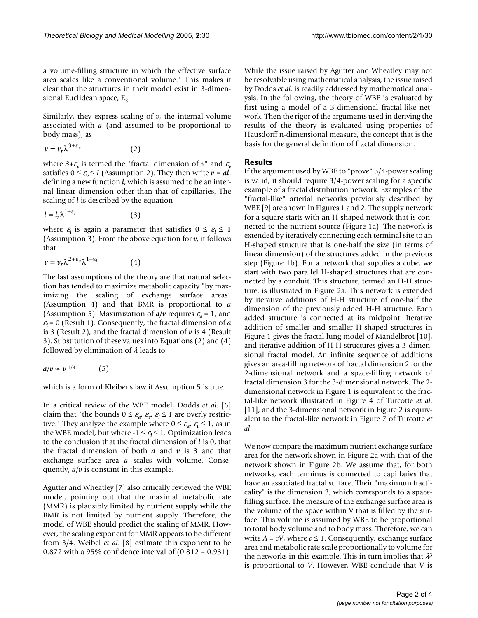a volume-filling structure in which the effective surface area scales like a conventional volume." This makes it clear that the structures in their model exist in 3-dimensional Euclidean space,  $E_3$ .

Similarly, they express scaling of *v*, the internal volume associated with *a* (and assumed to be proportional to body mass), as

$$
v = v_r \lambda^{3 + \varepsilon_v} \tag{2}
$$

where  $3+\varepsilon$ <sub>*i*</sub> is termed the "fractal dimension of  $v$ " and  $\varepsilon$ <sub>*i*</sub> satisfies  $0 \le \varepsilon_n \le I$  (Assumption 2). They then write  $v = al$ , defining a new function *l*, which is assumed to be an internal linear dimension other than that of capillaries. The scaling of *l* is described by the equation

$$
l = l_r \lambda^{1 + \varepsilon_l} \tag{3}
$$

where  $\varepsilon_l$  is again a parameter that satisfies  $0 \leq \varepsilon_l \leq 1$ (Assumption 3). From the above equation for *v*, it follows that

$$
v = v_r \lambda^{2 + \varepsilon_a} \lambda^{1 + \varepsilon_l} \tag{4}
$$

The last assumptions of the theory are that natural selection has tended to maximize metabolic capacity "by maximizing the scaling of exchange surface areas" (Assumption 4) and that BMR is proportional to *a* (Assumption 5). Maximization of  $a/v$  requires  $\varepsilon_a = 1$ , and  $\varepsilon_l$  = 0 (Result 1). Consequently, the fractal dimension of *a* is 3 (Result 2), and the fractal dimension of *v* is 4 (Result 3). Substitution of these values into Equations (2) and (4) followed by elimination of  $\lambda$  leads to

$$
a/v \propto v^{1/4} \tag{5}
$$

which is a form of Kleiber's law if Assumption 5 is true.

In a critical review of the WBE model, Dodds *et al*. [6] claim that "the bounds  $0 \le \varepsilon_{a}$ ,  $\varepsilon_{v}$ ,  $\varepsilon_{l} \le 1$  are overly restrictive." They analyze the example where  $0 \le \varepsilon_{a}$ ,  $\varepsilon_{v} \le 1$ , as in the WBE model, but where  $-1 \le \varepsilon_l \le 1$ . Optimization leads to the conclusion that the fractal dimension of *l* is 0, that the fractal dimension of both *a* and *v* is 3 and that exchange surface area *a* scales with volume. Consequently, *a/v* is constant in this example.

Agutter and Wheatley [7] also critically reviewed the WBE model, pointing out that the maximal metabolic rate (MMR) is plausibly limited by nutrient supply while the BMR is not limited by nutrient supply. Therefore, the model of WBE should predict the scaling of MMR. However, the scaling exponent for MMR appears to be different from 3/4. Weibel *et al*. [8] estimate this exponent to be 0.872 with a 95% confidence interval of (0.812 – 0.931).

While the issue raised by Agutter and Wheatley may not be resolvable using mathematical analysis, the issue raised by Dodds *et al*. is readily addressed by mathematical analysis. In the following, the theory of WBE is evaluated by first using a model of a 3-dimensional fractal-like network. Then the rigor of the arguments used in deriving the results of the theory is evaluated using properties of Hausdorff n-dimensional measure, the concept that is the basis for the general definition of fractal dimension.

#### **Results**

If the argument used by WBE to "prove" 3/4-power scaling is valid, it should require 3/4-power scaling for a specific example of a fractal distribution network. Examples of the "fractal-like" arterial networks previously described by WBE [9] are shown in Figures [1](#page-2-0) and [2](#page-2-1). The supply network for a square starts with an H-shaped network that is connected to the nutrient source (Figure [1](#page-2-0)a). The network is extended by iteratively connecting each terminal site to an H-shaped structure that is one-half the size (in terms of linear dimension) of the structures added in the previous step (Figure [1](#page-2-0)b). For a network that supplies a cube, we start with two parallel H-shaped structures that are connected by a conduit. This structure, termed an H-H structure, is illustrated in Figure [2](#page-2-1)a. This network is extended by iterative additions of H-H structure of one-half the dimension of the previously added H-H structure. Each added structure is connected at its midpoint. Iterative addition of smaller and smaller H-shaped structures in Figure [1](#page-2-0) gives the fractal lung model of Mandelbrot [10], and iterative addition of H-H structures gives a 3-dimensional fractal model. An infinite sequence of additions gives an area-filling network of fractal dimension 2 for the 2-dimensional network and a space-filling network of fractal dimension 3 for the 3-dimensional network. The 2 dimensional network in Figure [1](#page-2-0) is equivalent to the fractal-like network illustrated in Figure 4 of Turcotte *et al*. [11], and the 3-dimensional network in Figure [2](#page-2-1) is equivalent to the fractal-like network in Figure 7 of Turcotte *et al*.

We now compare the maximum nutrient exchange surface area for the network shown in Figure [2a](#page-2-1) with that of the network shown in Figure [2](#page-2-1)b. We assume that, for both networks, each terminus is connected to capillaries that have an associated fractal surface. Their "maximum fracticality" is the dimension 3, which corresponds to a spacefilling surface. The measure of the exchange surface area is the volume of the space within V that is filled by the surface. This volume is assumed by WBE to be proportional to total body volume and to body mass. Therefore, we can write  $A = cV$ , where  $c \leq 1$ . Consequently, exchange surface area and metabolic rate scale proportionally to volume for the networks in this example. This in turn implies that  $\lambda^3$ is proportional to *V*. However, WBE conclude that *V* is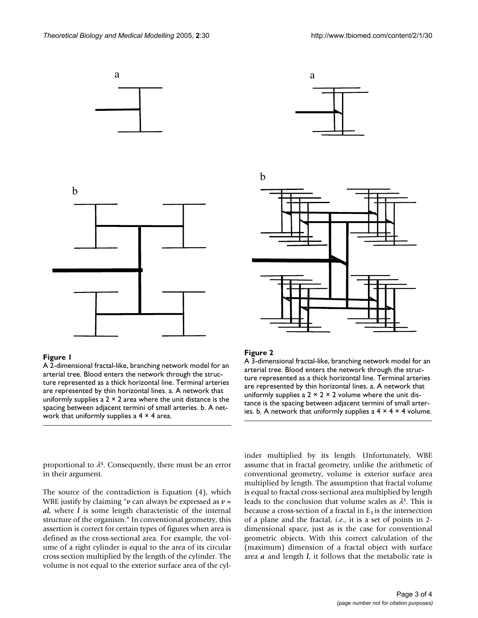<span id="page-2-0"></span>

#### Figure 1

A 2-dimensional fractal-like, branching network model for an arterial tree. Blood enters the network through the structure represented as a thick horizontal line. Terminal arteries are represented by thin horizontal lines. a. A network that uniformly supplies a  $2 \times 2$  area where the unit distance is the spacing between adjacent termini of small arteries. b. A network that uniformly supplies a  $4 \times 4$  area.

proportional to  $\lambda^4$ . Consequently, there must be an error in their argument.

The source of the contradiction is Equation (4), which WBE justify by claiming "*v* can always be expressed as *v = al*, where *l* is some length characteristic of the internal structure of the organism." In conventional geometry, this assertion is correct for certain types of figures when area is defined as the cross-sectional area. For example, the volume of a right cylinder is equal to the area of its circular cross section multiplied by the length of the cylinder. The volume is not equal to the exterior surface area of the cyl-

<span id="page-2-1"></span>

b



#### Figure 2

A 3-dimensional fractal-like, branching network model for an arterial tree. Blood enters the network through the structure represented as a thick horizontal line. Terminal arteries are represented by thin horizontal lines. a. A network that uniformly supplies a  $2 \times 2 \times 2$  volume where the unit distance is the spacing between adjacent termini of small arteries. b. A network that uniformly supplies a  $4 \times 4 \times 4$  volume.

inder multiplied by its length. Unfortunately, WBE assume that in fractal geometry, unlike the arithmetic of conventional geometry, volume is exterior surface area multiplied by length. The assumption that fractal volume is equal to fractal cross-sectional area multiplied by length leads to the conclusion that volume scales as  $\lambda^3$ . This is because a cross-section of a fractal in  $E_3$  is the intersection of a plane and the fractal, *i.e*., it is a set of points in 2 dimensional space, just as is the case for conventional geometric objects. With this correct calculation of the (maximum) dimension of a fractal object with surface area *a* and length *l*, it follows that the metabolic rate is